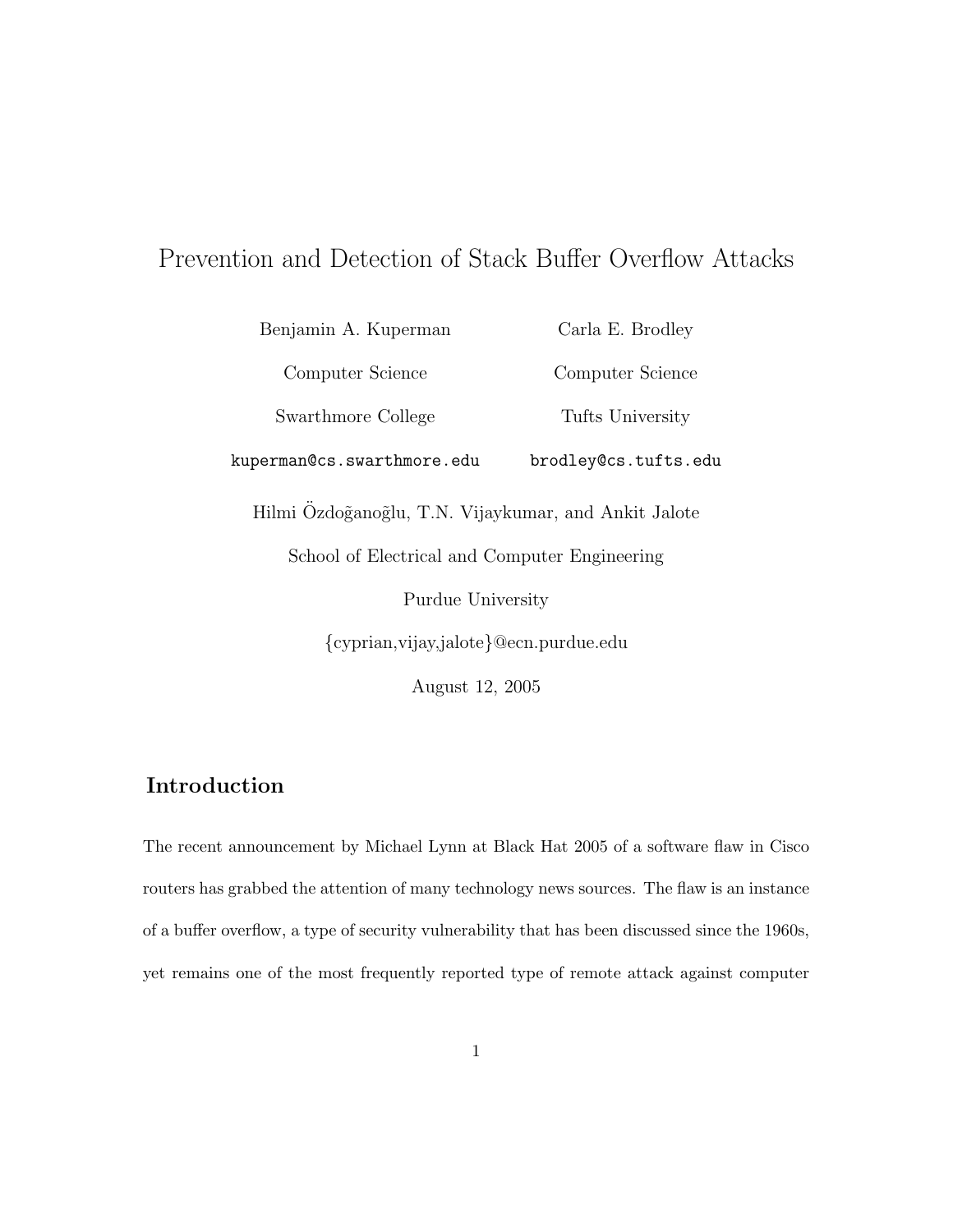# Prevention and Detection of Stack Buffer Overflow Attacks

Benjamin A. Kuperman Computer Science Swarthmore College kuperman@cs.swarthmore.edu Carla E. Brodley Computer Science Tufts University brodley@cs.tufts.edu Hilmi Özdoğanoğlu, T.N. Vijaykumar, and Ankit Jalote School of Electrical and Computer Engineering Purdue University {cyprian,vijay,jalote}@ecn.purdue.edu

August 12, 2005

# Introduction

The recent announcement by Michael Lynn at Black Hat 2005 of a software flaw in Cisco routers has grabbed the attention of many technology news sources. The flaw is an instance of a buffer overflow, a type of security vulnerability that has been discussed since the 1960s, yet remains one of the most frequently reported type of remote attack against computer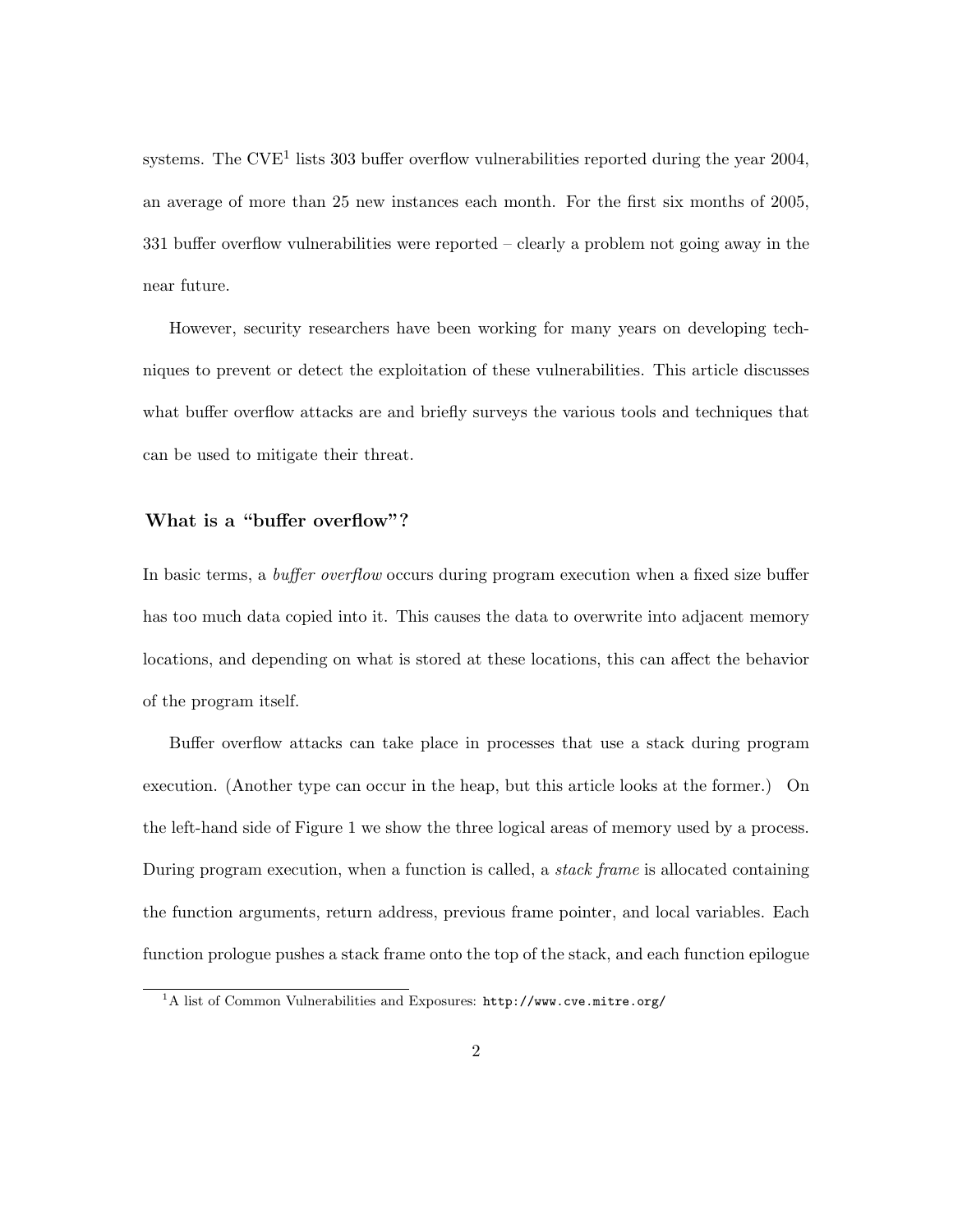systems. The CVE<sup>1</sup> lists 303 buffer overflow vulnerabilities reported during the year 2004, an average of more than 25 new instances each month. For the first six months of 2005, 331 buffer overflow vulnerabilities were reported – clearly a problem not going away in the near future.

However, security researchers have been working for many years on developing techniques to prevent or detect the exploitation of these vulnerabilities. This article discusses what buffer overflow attacks are and briefly surveys the various tools and techniques that can be used to mitigate their threat.

## What is a "buffer overflow"?

In basic terms, a *buffer overflow* occurs during program execution when a fixed size buffer has too much data copied into it. This causes the data to overwrite into adjacent memory locations, and depending on what is stored at these locations, this can affect the behavior of the program itself.

Buffer overflow attacks can take place in processes that use a stack during program execution. (Another type can occur in the heap, but this article looks at the former.) On the left-hand side of Figure 1 we show the three logical areas of memory used by a process. During program execution, when a function is called, a stack frame is allocated containing the function arguments, return address, previous frame pointer, and local variables. Each function prologue pushes a stack frame onto the top of the stack, and each function epilogue

<sup>&</sup>lt;sup>1</sup>A list of Common Vulnerabilities and Exposures: http://www.cve.mitre.org/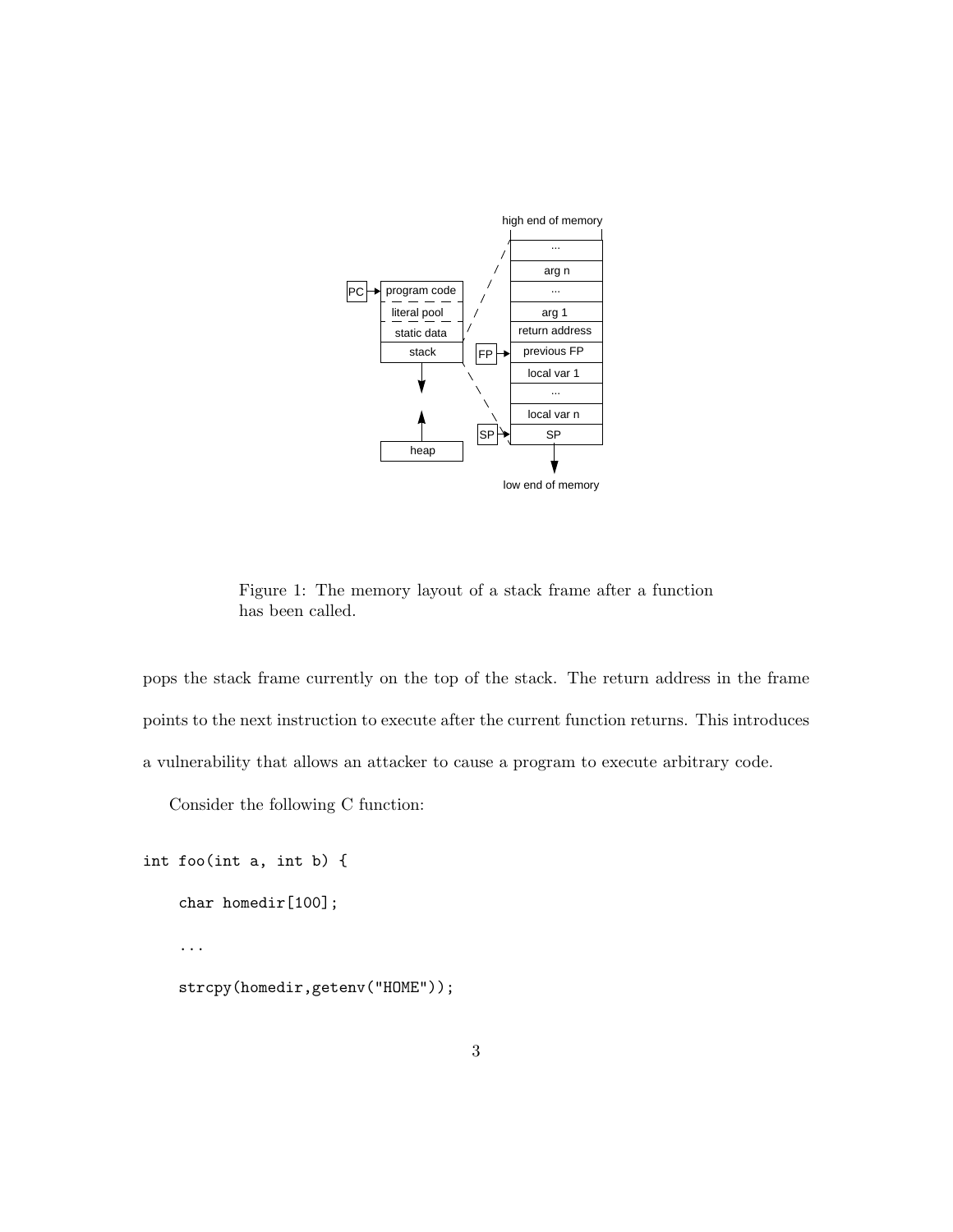

ingsecurity.Industrial industrial control of the state of the state of the state of the state of the state of the state of the state of the state of the state of the state of the state of the state of the state of the stat Figure 1: The memory layout of a stack frame after a function has been called.

pops the stack frame points to the next instruction to execute after the current fun basedStackGuardandthehardware-basedSmashGuardon a vulnerability that allows an attacker to cause a program to  $\ddot{\phantom{a}}$ pops the stack frame currently on the top of the stack. The return address in the frame **2.1 The Stack** points to the next instruction to execute after the current function returns. This introduces a vulnerability that allows an attacker to cause a program to execute arbitrary code.

InSection\ref{sec:anatomy}wedescribethevulnera- $\gamma$  for the state of  $\gamma$ Consider the following C function:

```
\frac{1}{2} in \frac{1}{2} foolinto in
int foo(int a, int b) {
guard between the proposed in the secret of the secret of the secret of the secret of the secret of the secret<br>graduate the secret of the secret of the secret of the secret of the secret of the secret of the secret of the
char homedir[100];
                                                                           exit.Ontherighthandsideofficially, \mathcal{F}_{\mathcal{F}}showafunctions that \mathcal{S}_{\mathcal{A}} is the functions of \mathcal{A}...
                                strcpy(homedir,getenv("HOME"));
```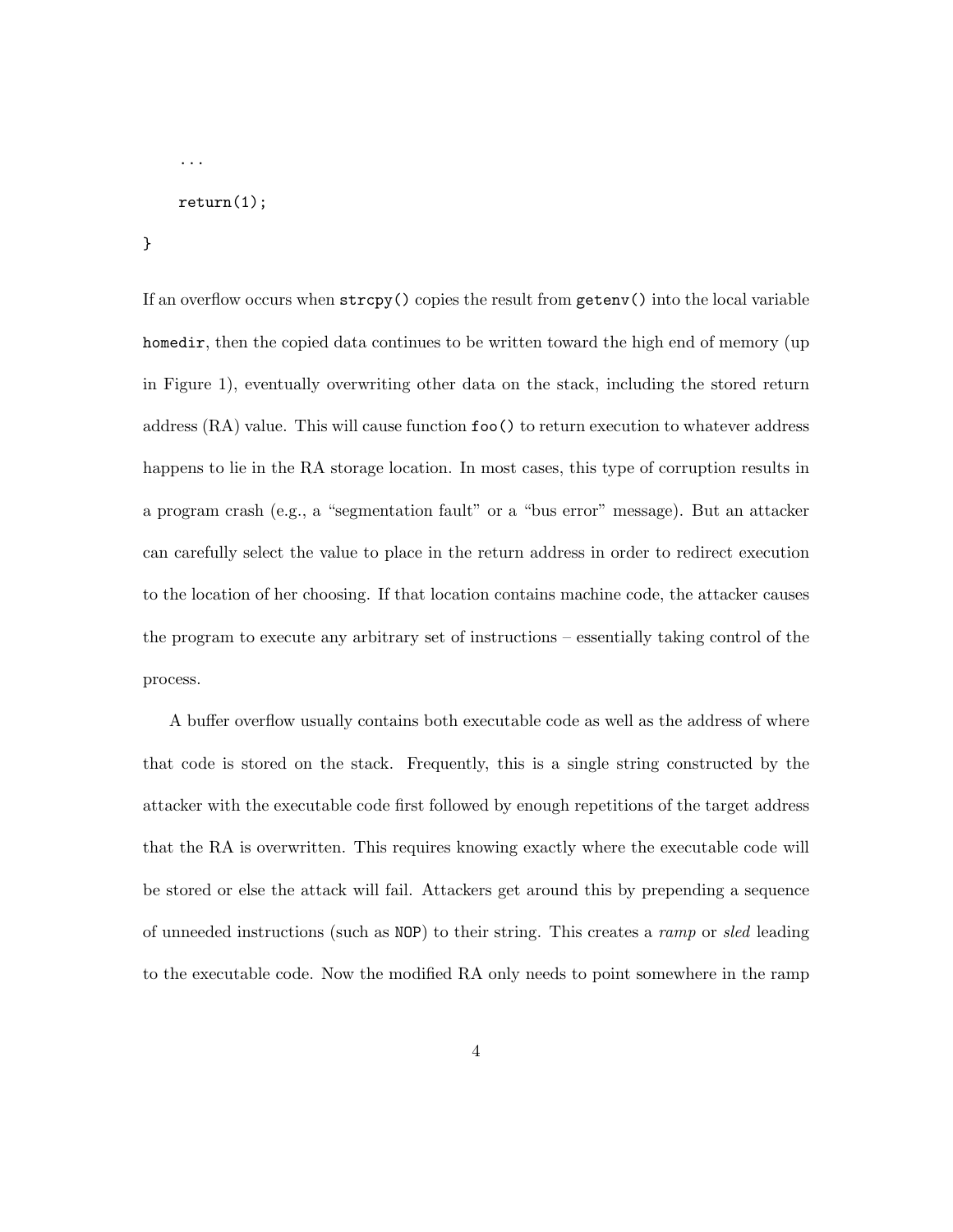```
return(1);
```
...

}

If an overflow occurs when strcpy() copies the result from getenv() into the local variable homedir, then the copied data continues to be written toward the high end of memory (up in Figure 1), eventually overwriting other data on the stack, including the stored return address (RA) value. This will cause function foo() to return execution to whatever address happens to lie in the RA storage location. In most cases, this type of corruption results in a program crash (e.g., a "segmentation fault" or a "bus error" message). But an attacker can carefully select the value to place in the return address in order to redirect execution to the location of her choosing. If that location contains machine code, the attacker causes the program to execute any arbitrary set of instructions – essentially taking control of the process.

A buffer overflow usually contains both executable code as well as the address of where that code is stored on the stack. Frequently, this is a single string constructed by the attacker with the executable code first followed by enough repetitions of the target address that the RA is overwritten. This requires knowing exactly where the executable code will be stored or else the attack will fail. Attackers get around this by prepending a sequence of unneeded instructions (such as NOP) to their string. This creates a ramp or sled leading to the executable code. Now the modified RA only needs to point somewhere in the ramp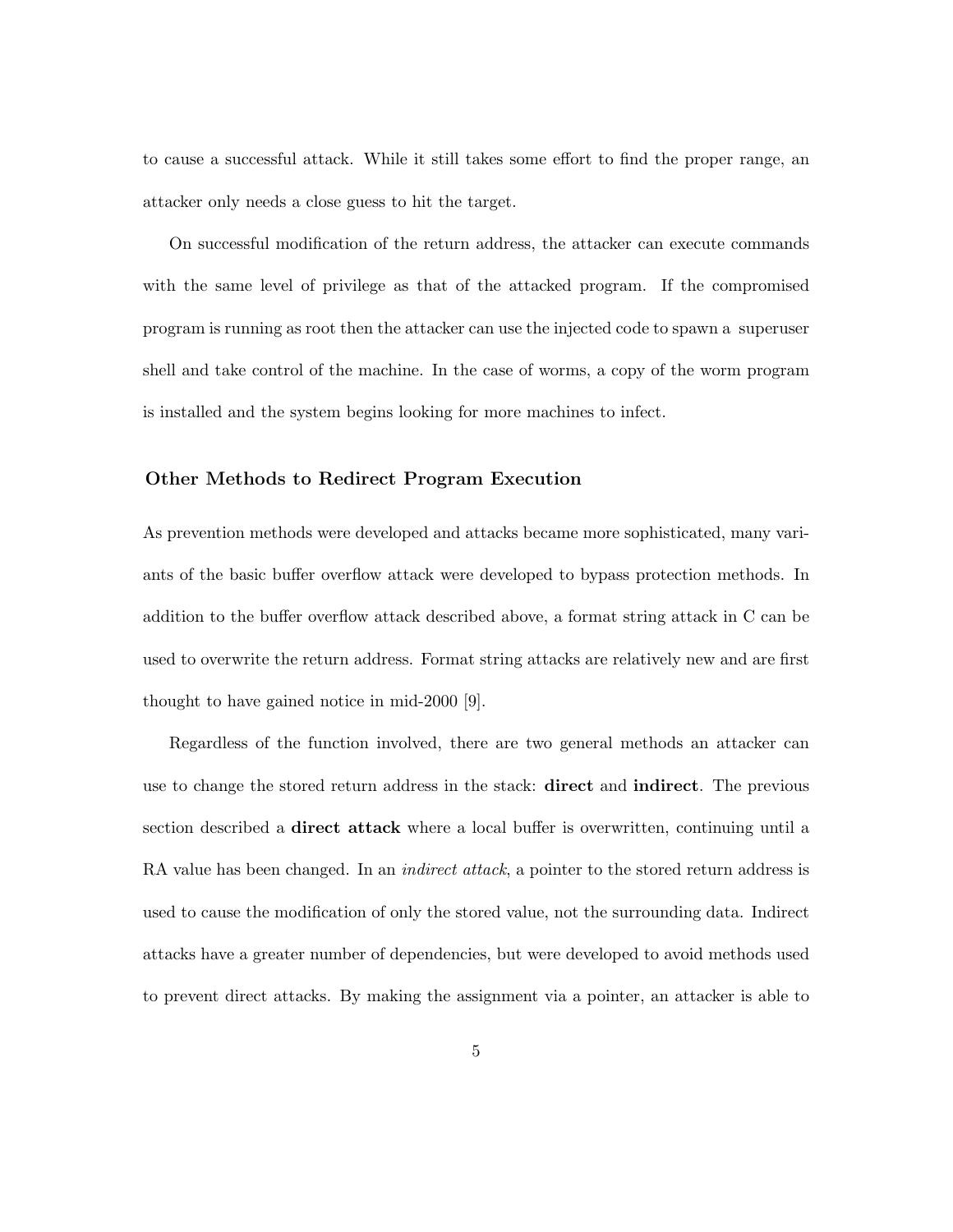to cause a successful attack. While it still takes some effort to find the proper range, an attacker only needs a close guess to hit the target.

On successful modification of the return address, the attacker can execute commands with the same level of privilege as that of the attacked program. If the compromised program is running as root then the attacker can use the injected code to spawn a superuser shell and take control of the machine. In the case of worms, a copy of the worm program is installed and the system begins looking for more machines to infect.

## Other Methods to Redirect Program Execution

As prevention methods were developed and attacks became more sophisticated, many variants of the basic buffer overflow attack were developed to bypass protection methods. In addition to the buffer overflow attack described above, a format string attack in C can be used to overwrite the return address. Format string attacks are relatively new and are first thought to have gained notice in mid-2000 [9].

Regardless of the function involved, there are two general methods an attacker can use to change the stored return address in the stack: direct and indirect. The previous section described a direct attack where a local buffer is overwritten, continuing until a RA value has been changed. In an *indirect attack*, a pointer to the stored return address is used to cause the modification of only the stored value, not the surrounding data. Indirect attacks have a greater number of dependencies, but were developed to avoid methods used to prevent direct attacks. By making the assignment via a pointer, an attacker is able to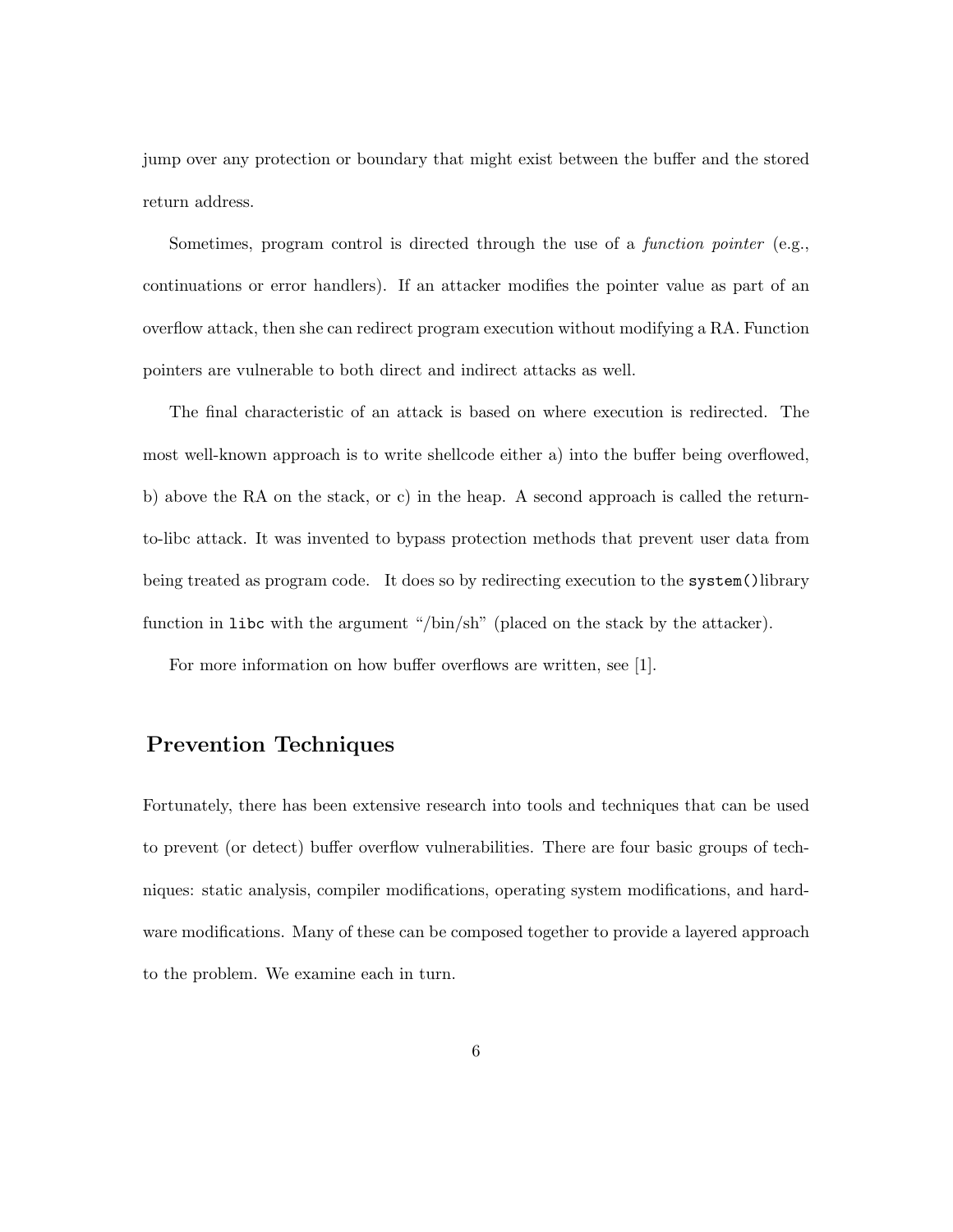jump over any protection or boundary that might exist between the buffer and the stored return address.

Sometimes, program control is directed through the use of a function pointer (e.g., continuations or error handlers). If an attacker modifies the pointer value as part of an overflow attack, then she can redirect program execution without modifying a RA. Function pointers are vulnerable to both direct and indirect attacks as well.

The final characteristic of an attack is based on where execution is redirected. The most well-known approach is to write shellcode either a) into the buffer being overflowed, b) above the RA on the stack, or c) in the heap. A second approach is called the returnto-libc attack. It was invented to bypass protection methods that prevent user data from being treated as program code. It does so by redirecting execution to the system()library function in libc with the argument "/bin/sh" (placed on the stack by the attacker).

For more information on how buffer overflows are written, see [1].

# Prevention Techniques

Fortunately, there has been extensive research into tools and techniques that can be used to prevent (or detect) buffer overflow vulnerabilities. There are four basic groups of techniques: static analysis, compiler modifications, operating system modifications, and hardware modifications. Many of these can be composed together to provide a layered approach to the problem. We examine each in turn.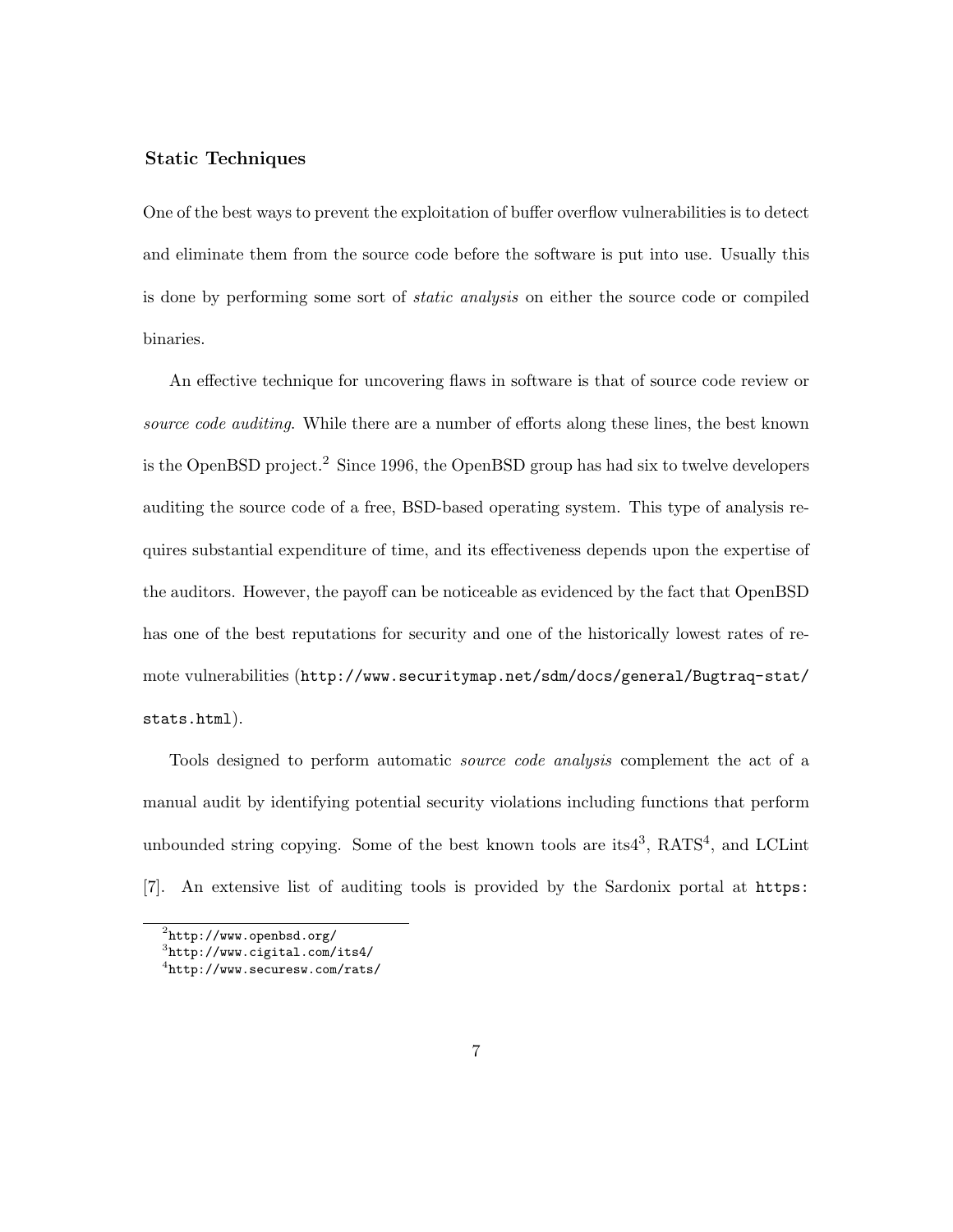### Static Techniques

One of the best ways to prevent the exploitation of buffer overflow vulnerabilities is to detect and eliminate them from the source code before the software is put into use. Usually this is done by performing some sort of static analysis on either the source code or compiled binaries.

An effective technique for uncovering flaws in software is that of source code review or source code auditing. While there are a number of efforts along these lines, the best known is the OpenBSD project.<sup>2</sup> Since 1996, the OpenBSD group has had six to twelve developers auditing the source code of a free, BSD-based operating system. This type of analysis requires substantial expenditure of time, and its effectiveness depends upon the expertise of the auditors. However, the payoff can be noticeable as evidenced by the fact that OpenBSD has one of the best reputations for security and one of the historically lowest rates of remote vulnerabilities (http://www.securitymap.net/sdm/docs/general/Bugtraq-stat/ stats.html).

Tools designed to perform automatic source code analysis complement the act of a manual audit by identifying potential security violations including functions that perform unbounded string copying. Some of the best known tools are its<sup>43</sup>,  $RATS<sup>4</sup>$ , and LCLint [7]. An extensive list of auditing tools is provided by the Sardonix portal at https:

 $^{2}$ http://www.openbsd.org/

<sup>3</sup> http://www.cigital.com/its4/

<sup>4</sup> http://www.securesw.com/rats/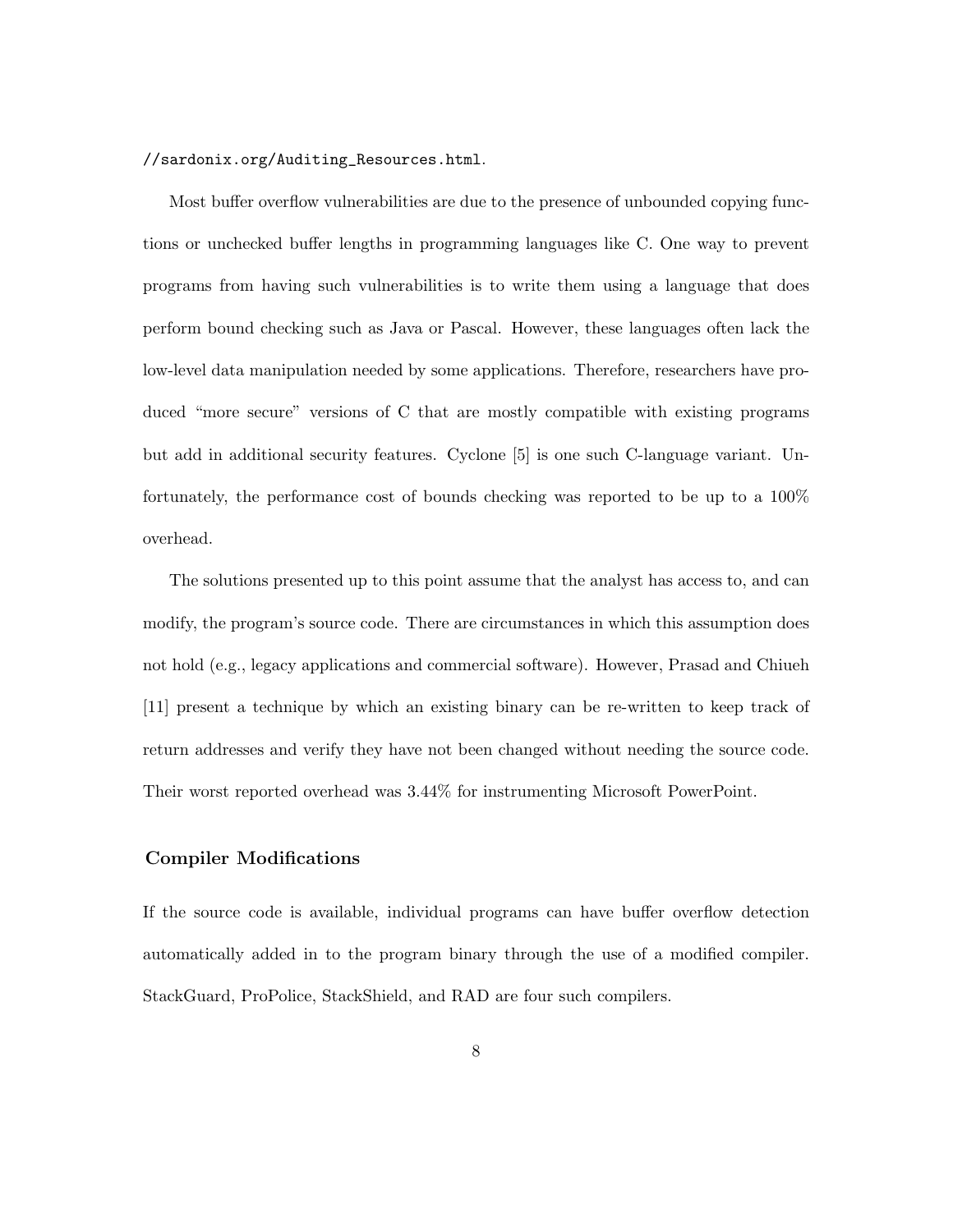#### //sardonix.org/Auditing\_Resources.html.

Most buffer overflow vulnerabilities are due to the presence of unbounded copying functions or unchecked buffer lengths in programming languages like C. One way to prevent programs from having such vulnerabilities is to write them using a language that does perform bound checking such as Java or Pascal. However, these languages often lack the low-level data manipulation needed by some applications. Therefore, researchers have produced "more secure" versions of C that are mostly compatible with existing programs but add in additional security features. Cyclone [5] is one such C-language variant. Unfortunately, the performance cost of bounds checking was reported to be up to a 100% overhead.

The solutions presented up to this point assume that the analyst has access to, and can modify, the program's source code. There are circumstances in which this assumption does not hold (e.g., legacy applications and commercial software). However, Prasad and Chiueh [11] present a technique by which an existing binary can be re-written to keep track of return addresses and verify they have not been changed without needing the source code. Their worst reported overhead was 3.44% for instrumenting Microsoft PowerPoint.

## Compiler Modifications

If the source code is available, individual programs can have buffer overflow detection automatically added in to the program binary through the use of a modified compiler. StackGuard, ProPolice, StackShield, and RAD are four such compilers.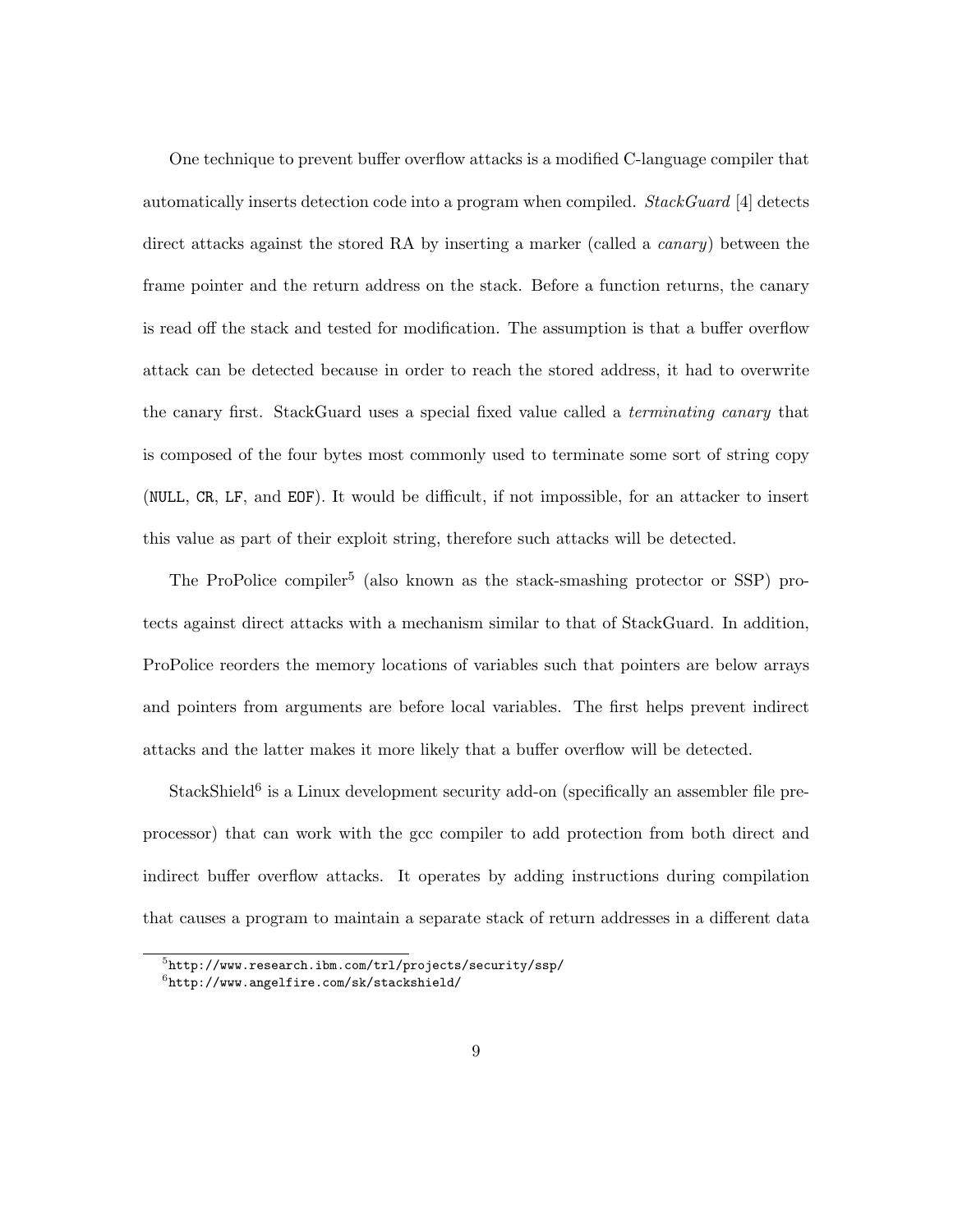One technique to prevent buffer overflow attacks is a modified C-language compiler that automatically inserts detection code into a program when compiled. StackGuard  $[4]$  detects direct attacks against the stored RA by inserting a marker (called a *canary*) between the frame pointer and the return address on the stack. Before a function returns, the canary is read off the stack and tested for modification. The assumption is that a buffer overflow attack can be detected because in order to reach the stored address, it had to overwrite the canary first. StackGuard uses a special fixed value called a terminating canary that is composed of the four bytes most commonly used to terminate some sort of string copy (NULL, CR, LF, and EOF). It would be difficult, if not impossible, for an attacker to insert this value as part of their exploit string, therefore such attacks will be detected.

The ProPolice compiler<sup>5</sup> (also known as the stack-smashing protector or SSP) protects against direct attacks with a mechanism similar to that of StackGuard. In addition, ProPolice reorders the memory locations of variables such that pointers are below arrays and pointers from arguments are before local variables. The first helps prevent indirect attacks and the latter makes it more likely that a buffer overflow will be detected.

 $Stack Shields<sup>6</sup>$  is a Linux development security add-on (specifically an assembler file preprocessor) that can work with the gcc compiler to add protection from both direct and indirect buffer overflow attacks. It operates by adding instructions during compilation that causes a program to maintain a separate stack of return addresses in a different data

 $^{5}$ http://www.research.ibm.com/trl/projects/security/ssp/

 $^6$ http://www.angelfire.com/sk/stackshield/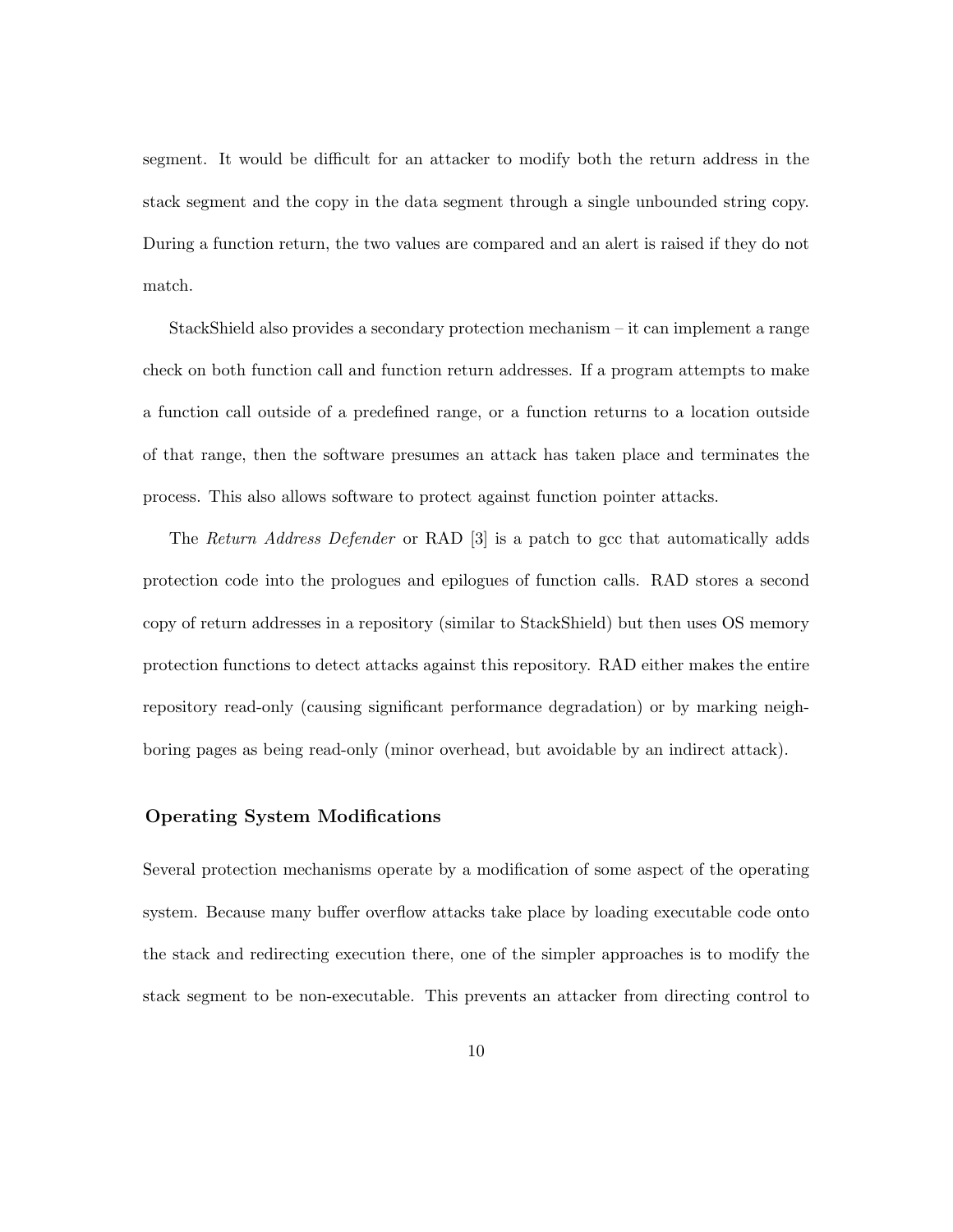segment. It would be difficult for an attacker to modify both the return address in the stack segment and the copy in the data segment through a single unbounded string copy. During a function return, the two values are compared and an alert is raised if they do not match.

StackShield also provides a secondary protection mechanism – it can implement a range check on both function call and function return addresses. If a program attempts to make a function call outside of a predefined range, or a function returns to a location outside of that range, then the software presumes an attack has taken place and terminates the process. This also allows software to protect against function pointer attacks.

The Return Address Defender or RAD [3] is a patch to gcc that automatically adds protection code into the prologues and epilogues of function calls. RAD stores a second copy of return addresses in a repository (similar to StackShield) but then uses OS memory protection functions to detect attacks against this repository. RAD either makes the entire repository read-only (causing significant performance degradation) or by marking neighboring pages as being read-only (minor overhead, but avoidable by an indirect attack).

### Operating System Modifications

Several protection mechanisms operate by a modification of some aspect of the operating system. Because many buffer overflow attacks take place by loading executable code onto the stack and redirecting execution there, one of the simpler approaches is to modify the stack segment to be non-executable. This prevents an attacker from directing control to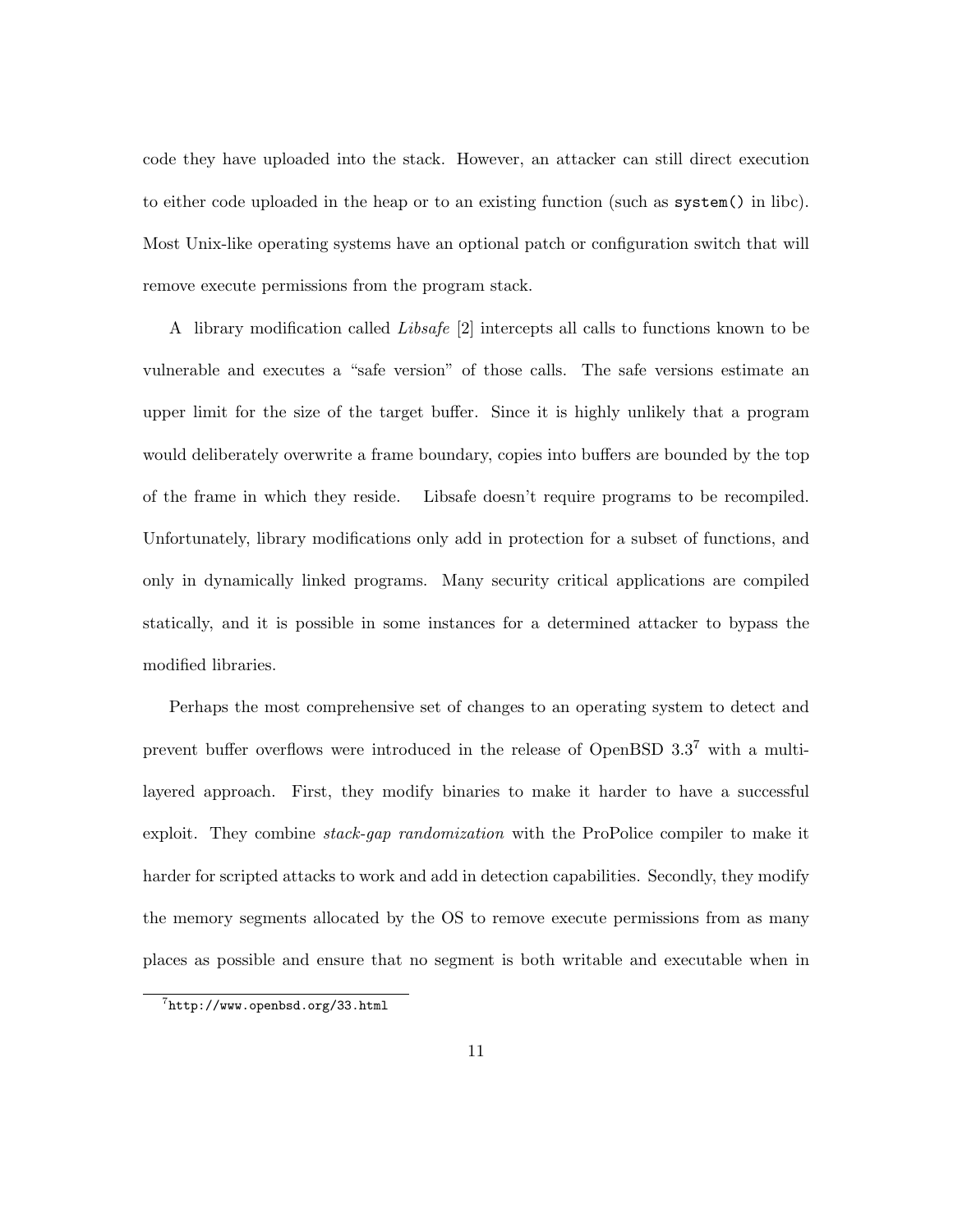code they have uploaded into the stack. However, an attacker can still direct execution to either code uploaded in the heap or to an existing function (such as system() in libc). Most Unix-like operating systems have an optional patch or configuration switch that will remove execute permissions from the program stack.

A library modification called Libsafe [2] intercepts all calls to functions known to be vulnerable and executes a "safe version" of those calls. The safe versions estimate an upper limit for the size of the target buffer. Since it is highly unlikely that a program would deliberately overwrite a frame boundary, copies into buffers are bounded by the top of the frame in which they reside. Libsafe doesn't require programs to be recompiled. Unfortunately, library modifications only add in protection for a subset of functions, and only in dynamically linked programs. Many security critical applications are compiled statically, and it is possible in some instances for a determined attacker to bypass the modified libraries.

Perhaps the most comprehensive set of changes to an operating system to detect and prevent buffer overflows were introduced in the release of OpenBSD 3.3<sup>7</sup> with a multilayered approach. First, they modify binaries to make it harder to have a successful exploit. They combine *stack-gap randomization* with the ProPolice compiler to make it harder for scripted attacks to work and add in detection capabilities. Secondly, they modify the memory segments allocated by the OS to remove execute permissions from as many places as possible and ensure that no segment is both writable and executable when in

<sup>7</sup> http://www.openbsd.org/33.html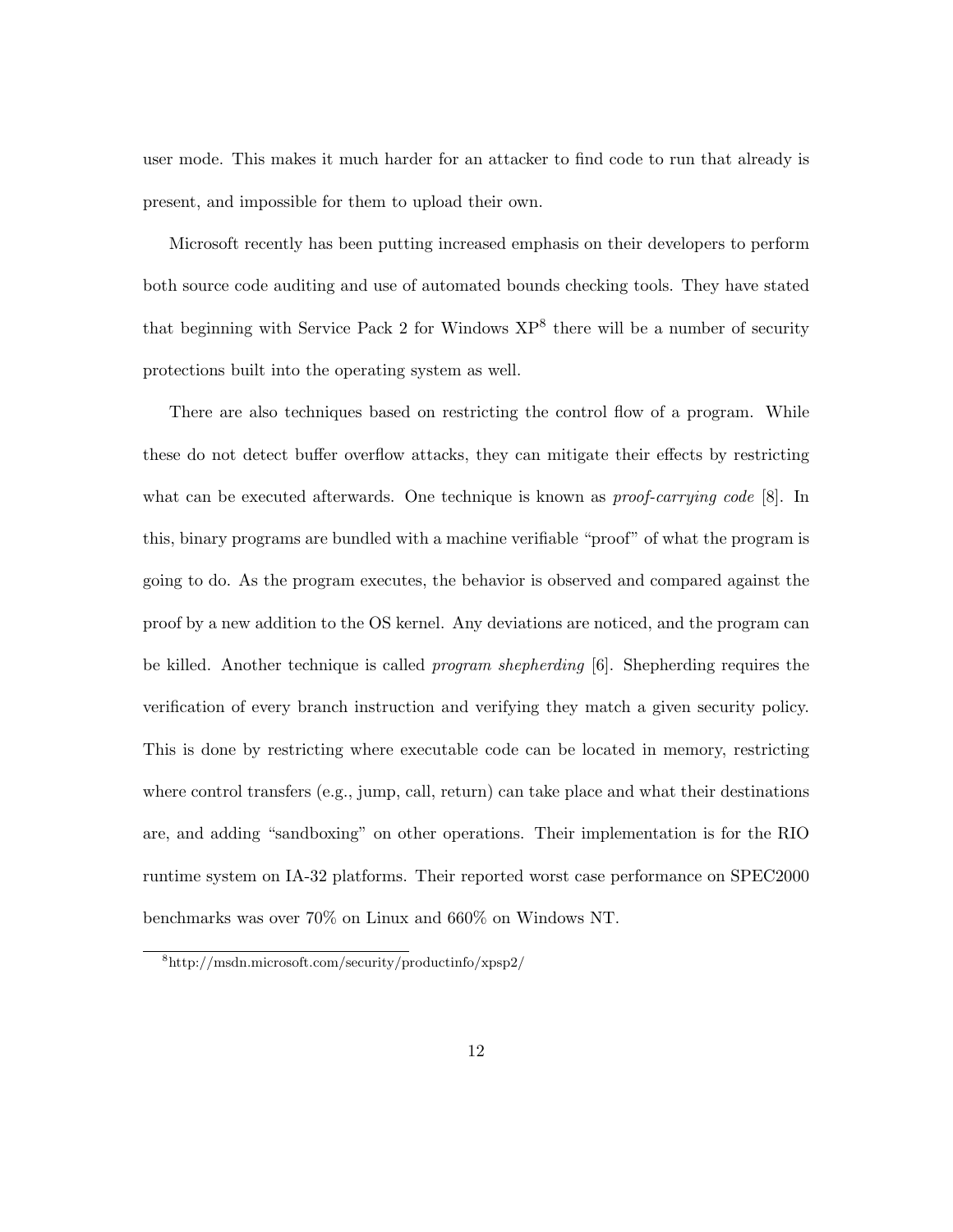user mode. This makes it much harder for an attacker to find code to run that already is present, and impossible for them to upload their own.

Microsoft recently has been putting increased emphasis on their developers to perform both source code auditing and use of automated bounds checking tools. They have stated that beginning with Service Pack 2 for Windows  $XP^8$  there will be a number of security protections built into the operating system as well.

There are also techniques based on restricting the control flow of a program. While these do not detect buffer overflow attacks, they can mitigate their effects by restricting what can be executed afterwards. One technique is known as *proof-carrying code* [8]. In this, binary programs are bundled with a machine verifiable "proof" of what the program is going to do. As the program executes, the behavior is observed and compared against the proof by a new addition to the OS kernel. Any deviations are noticed, and the program can be killed. Another technique is called *program shepherding* [6]. Shepherding requires the verification of every branch instruction and verifying they match a given security policy. This is done by restricting where executable code can be located in memory, restricting where control transfers  $(e.g., jump, call, return)$  can take place and what their destinations are, and adding "sandboxing" on other operations. Their implementation is for the RIO runtime system on IA-32 platforms. Their reported worst case performance on SPEC2000 benchmarks was over 70% on Linux and 660% on Windows NT.

<sup>8</sup>http://msdn.microsoft.com/security/productinfo/xpsp2/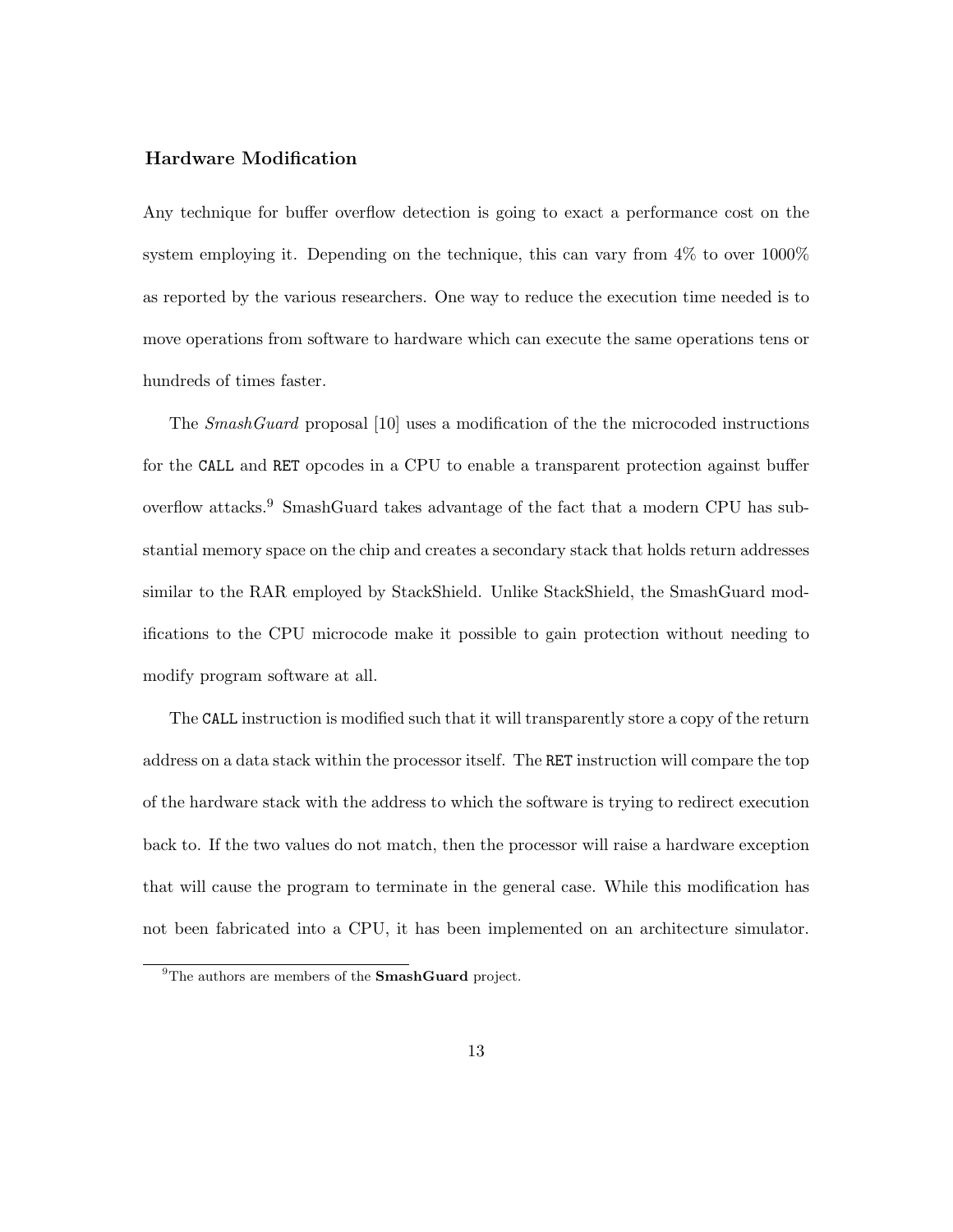#### Hardware Modification

Any technique for buffer overflow detection is going to exact a performance cost on the system employing it. Depending on the technique, this can vary from 4% to over 1000% as reported by the various researchers. One way to reduce the execution time needed is to move operations from software to hardware which can execute the same operations tens or hundreds of times faster.

The SmashGuard proposal [10] uses a modification of the the microcoded instructions for the CALL and RET opcodes in a CPU to enable a transparent protection against buffer overflow attacks.<sup>9</sup> SmashGuard takes advantage of the fact that a modern CPU has substantial memory space on the chip and creates a secondary stack that holds return addresses similar to the RAR employed by StackShield. Unlike StackShield, the SmashGuard modifications to the CPU microcode make it possible to gain protection without needing to modify program software at all.

The CALL instruction is modified such that it will transparently store a copy of the return address on a data stack within the processor itself. The RET instruction will compare the top of the hardware stack with the address to which the software is trying to redirect execution back to. If the two values do not match, then the processor will raise a hardware exception that will cause the program to terminate in the general case. While this modification has not been fabricated into a CPU, it has been implemented on an architecture simulator.

<sup>&</sup>lt;sup>9</sup>The authors are members of the **SmashGuard** project.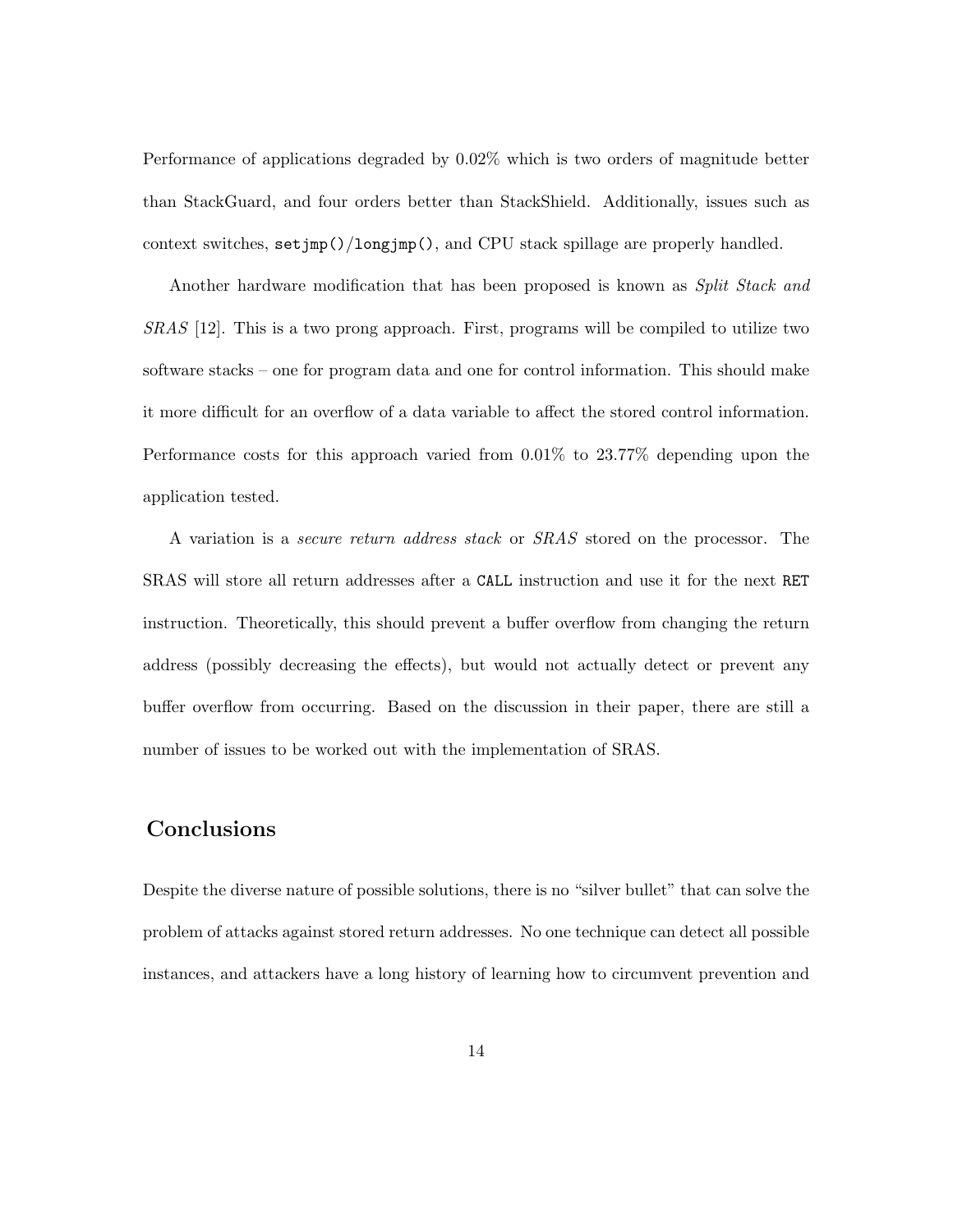Performance of applications degraded by 0.02% which is two orders of magnitude better than StackGuard, and four orders better than StackShield. Additionally, issues such as context switches, setjmp()/longjmp(), and CPU stack spillage are properly handled.

Another hardware modification that has been proposed is known as *Split Stack and* SRAS [12]. This is a two prong approach. First, programs will be compiled to utilize two software stacks – one for program data and one for control information. This should make it more difficult for an overflow of a data variable to affect the stored control information. Performance costs for this approach varied from 0.01% to 23.77% depending upon the application tested.

A variation is a secure return address stack or SRAS stored on the processor. The SRAS will store all return addresses after a CALL instruction and use it for the next RET instruction. Theoretically, this should prevent a buffer overflow from changing the return address (possibly decreasing the effects), but would not actually detect or prevent any buffer overflow from occurring. Based on the discussion in their paper, there are still a number of issues to be worked out with the implementation of SRAS.

# Conclusions

Despite the diverse nature of possible solutions, there is no "silver bullet" that can solve the problem of attacks against stored return addresses. No one technique can detect all possible instances, and attackers have a long history of learning how to circumvent prevention and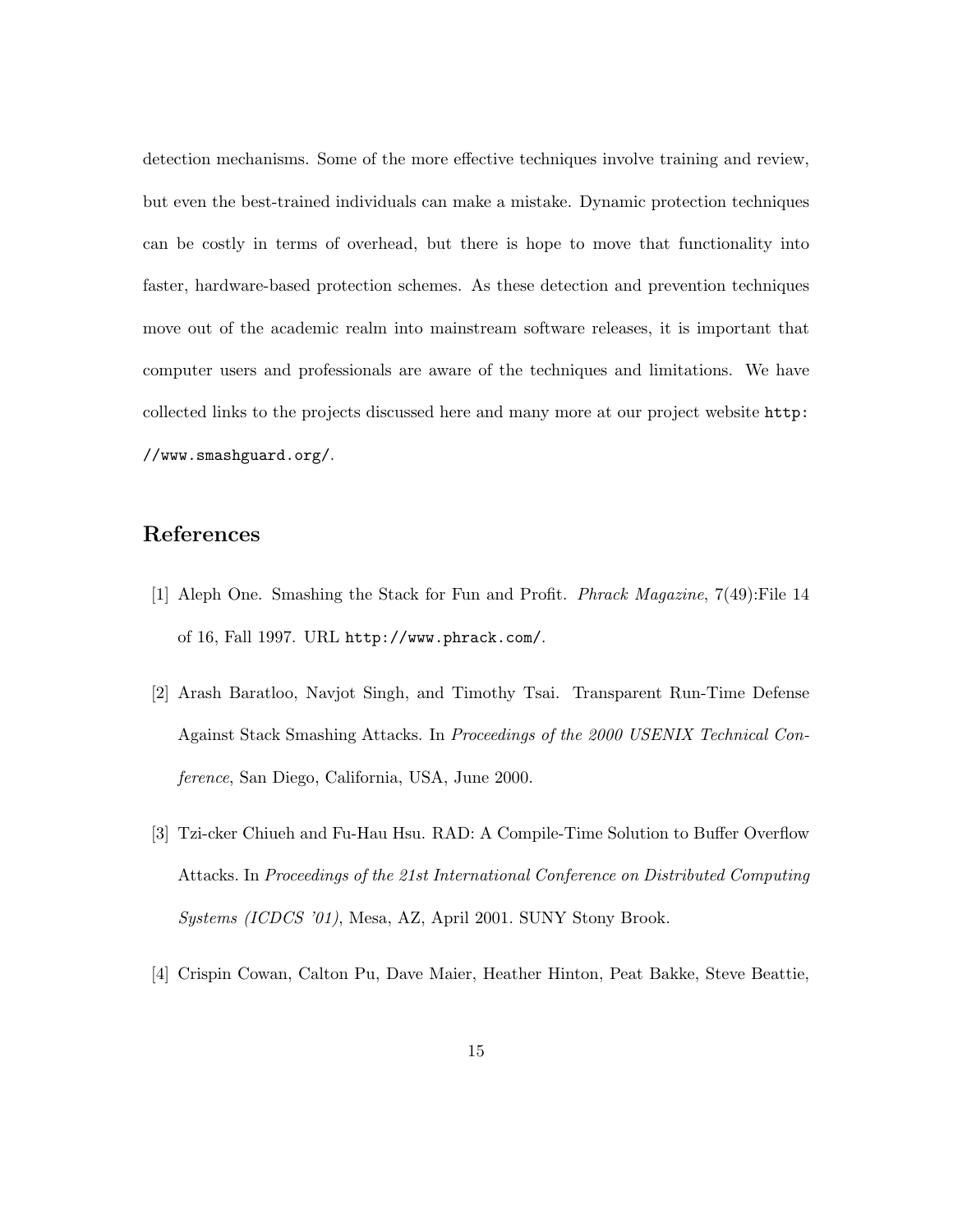detection mechanisms. Some of the more effective techniques involve training and review, but even the best-trained individuals can make a mistake. Dynamic protection techniques can be costly in terms of overhead, but there is hope to move that functionality into faster, hardware-based protection schemes. As these detection and prevention techniques move out of the academic realm into mainstream software releases, it is important that computer users and professionals are aware of the techniques and limitations. We have collected links to the projects discussed here and many more at our project website http: //www.smashguard.org/.

# References

- [1] Aleph One. Smashing the Stack for Fun and Profit. Phrack Magazine, 7(49):File 14 of 16, Fall 1997. URL http://www.phrack.com/.
- [2] Arash Baratloo, Navjot Singh, and Timothy Tsai. Transparent Run-Time Defense Against Stack Smashing Attacks. In Proceedings of the 2000 USENIX Technical Conference, San Diego, California, USA, June 2000.
- [3] Tzi-cker Chiueh and Fu-Hau Hsu. RAD: A Compile-Time Solution to Buffer Overflow Attacks. In Proceedings of the 21st International Conference on Distributed Computing Systems (ICDCS '01), Mesa, AZ, April 2001. SUNY Stony Brook.
- [4] Crispin Cowan, Calton Pu, Dave Maier, Heather Hinton, Peat Bakke, Steve Beattie,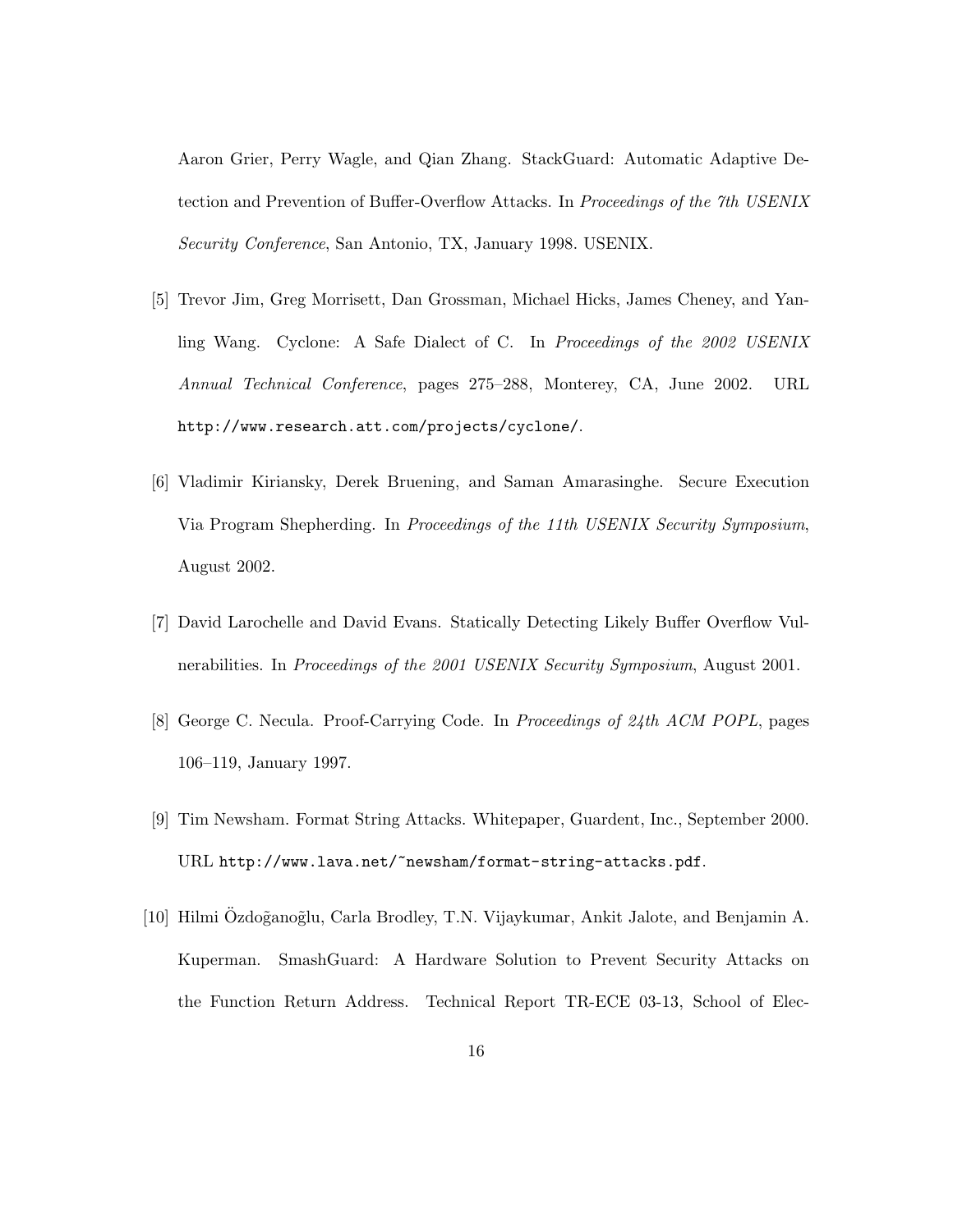Aaron Grier, Perry Wagle, and Qian Zhang. StackGuard: Automatic Adaptive Detection and Prevention of Buffer-Overflow Attacks. In Proceedings of the 7th USENIX Security Conference, San Antonio, TX, January 1998. USENIX.

- [5] Trevor Jim, Greg Morrisett, Dan Grossman, Michael Hicks, James Cheney, and Yanling Wang. Cyclone: A Safe Dialect of C. In Proceedings of the 2002 USENIX Annual Technical Conference, pages 275–288, Monterey, CA, June 2002. URL http://www.research.att.com/projects/cyclone/.
- [6] Vladimir Kiriansky, Derek Bruening, and Saman Amarasinghe. Secure Execution Via Program Shepherding. In Proceedings of the 11th USENIX Security Symposium, August 2002.
- [7] David Larochelle and David Evans. Statically Detecting Likely Buffer Overflow Vulnerabilities. In Proceedings of the 2001 USENIX Security Symposium, August 2001.
- [8] George C. Necula. Proof-Carrying Code. In Proceedings of 24th ACM POPL, pages 106–119, January 1997.
- [9] Tim Newsham. Format String Attacks. Whitepaper, Guardent, Inc., September 2000. URL http://www.lava.net/~newsham/format-string-attacks.pdf.
- [10] Hilmi Ozdo˜gano˜glu, Carla Brodley, T.N. Vijaykumar, Ankit Jalote, and Benjamin A. ¨ Kuperman. SmashGuard: A Hardware Solution to Prevent Security Attacks on the Function Return Address. Technical Report TR-ECE 03-13, School of Elec-